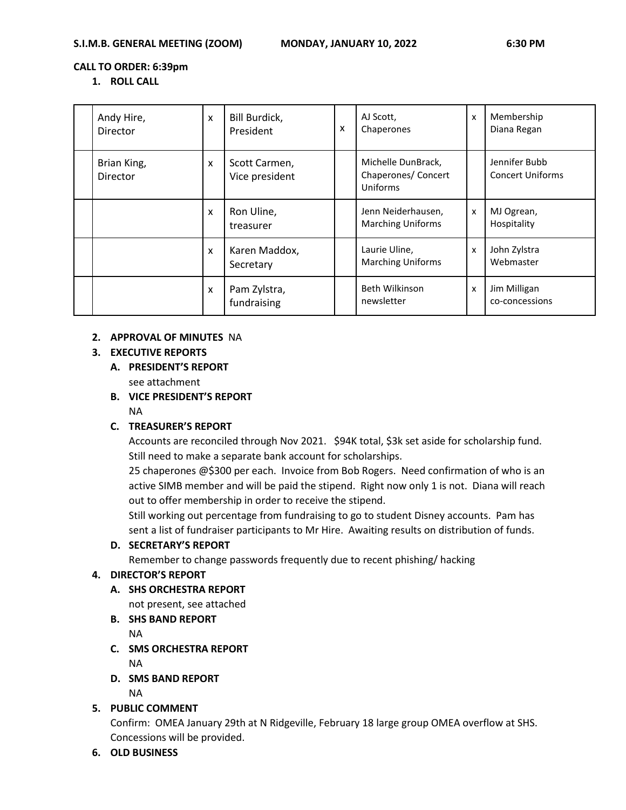#### **CALL TO ORDER: 6:39pm**

#### **1. ROLL CALL**

| Andy Hire,<br>Director  | X | Bill Burdick,<br>President      | x | AJ Scott,<br>Chaperones                               | x | Membership<br>Diana Regan                |
|-------------------------|---|---------------------------------|---|-------------------------------------------------------|---|------------------------------------------|
| Brian King,<br>Director | X | Scott Carmen,<br>Vice president |   | Michelle DunBrack,<br>Chaperones/ Concert<br>Uniforms |   | Jennifer Bubb<br><b>Concert Uniforms</b> |
|                         | X | Ron Uline,<br>treasurer         |   | Jenn Neiderhausen,<br><b>Marching Uniforms</b>        | x | MJ Ogrean,<br>Hospitality                |
|                         | X | Karen Maddox,<br>Secretary      |   | Laurie Uline,<br><b>Marching Uniforms</b>             | X | John Zylstra<br>Webmaster                |
|                         | X | Pam Zylstra,<br>fundraising     |   | Beth Wilkinson<br>newsletter                          | X | Jim Milligan<br>co-concessions           |

### **2. APPROVAL OF MINUTES** NA

### **3. EXECUTIVE REPORTS**

**A. PRESIDENT'S REPORT**

see attachment

**B. VICE PRESIDENT'S REPORT**

# NA

### **C. TREASURER'S REPORT**

Accounts are reconciled through Nov 2021. \$94K total, \$3k set aside for scholarship fund. Still need to make a separate bank account for scholarships.

25 chaperones @\$300 per each. Invoice from Bob Rogers. Need confirmation of who is an active SIMB member and will be paid the stipend. Right now only 1 is not. Diana will reach out to offer membership in order to receive the stipend.

Still working out percentage from fundraising to go to student Disney accounts. Pam has sent a list of fundraiser participants to Mr Hire. Awaiting results on distribution of funds.

### **D. SECRETARY'S REPORT**

Remember to change passwords frequently due to recent phishing/ hacking

### **4. DIRECTOR'S REPORT**

- **A. SHS ORCHESTRA REPORT**
	- not present, see attached
- **B. SHS BAND REPORT**

NA

**C. SMS ORCHESTRA REPORT**

NA

**D. SMS BAND REPORT**

NA

# **5. PUBLIC COMMENT**

Confirm: OMEA January 29th at N Ridgeville, February 18 large group OMEA overflow at SHS. Concessions will be provided.

### **6. OLD BUSINESS**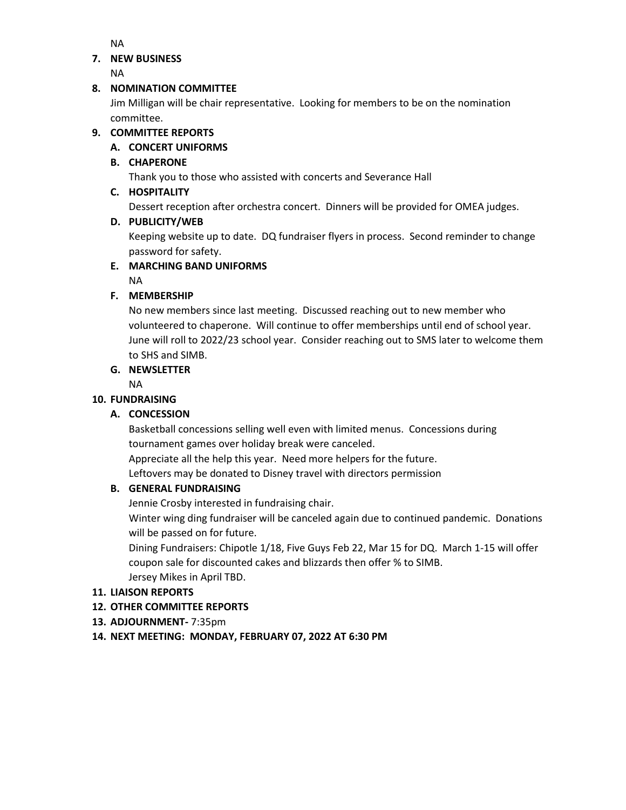NA

## **7. NEW BUSINESS**

NA

# **8. NOMINATION COMMITTEE**

Jim Milligan will be chair representative. Looking for members to be on the nomination committee.

# **9. COMMITTEE REPORTS**

# **A. CONCERT UNIFORMS**

# **B. CHAPERONE**

Thank you to those who assisted with concerts and Severance Hall

# **C. HOSPITALITY**

Dessert reception after orchestra concert. Dinners will be provided for OMEA judges.

## **D. PUBLICITY/WEB**

Keeping website up to date. DQ fundraiser flyers in process. Second reminder to change password for safety.

# **E. MARCHING BAND UNIFORMS**

NA

# **F. MEMBERSHIP**

No new members since last meeting. Discussed reaching out to new member who volunteered to chaperone. Will continue to offer memberships until end of school year. June will roll to 2022/23 school year. Consider reaching out to SMS later to welcome them to SHS and SIMB.

# **G. NEWSLETTER**

NA

# **10. FUNDRAISING**

# **A. CONCESSION**

Basketball concessions selling well even with limited menus. Concessions during tournament games over holiday break were canceled.

Appreciate all the help this year. Need more helpers for the future.

Leftovers may be donated to Disney travel with directors permission

# **B. GENERAL FUNDRAISING**

Jennie Crosby interested in fundraising chair.

Winter wing ding fundraiser will be canceled again due to continued pandemic. Donations will be passed on for future.

Dining Fundraisers: Chipotle 1/18, Five Guys Feb 22, Mar 15 for DQ. March 1-15 will offer coupon sale for discounted cakes and blizzards then offer % to SIMB. Jersey Mikes in April TBD.

# **11. LIAISON REPORTS**

# **12. OTHER COMMITTEE REPORTS**

- **13. ADJOURNMENT-** 7:35pm
- **14. NEXT MEETING: MONDAY, FEBRUARY 07, 2022 AT 6:30 PM**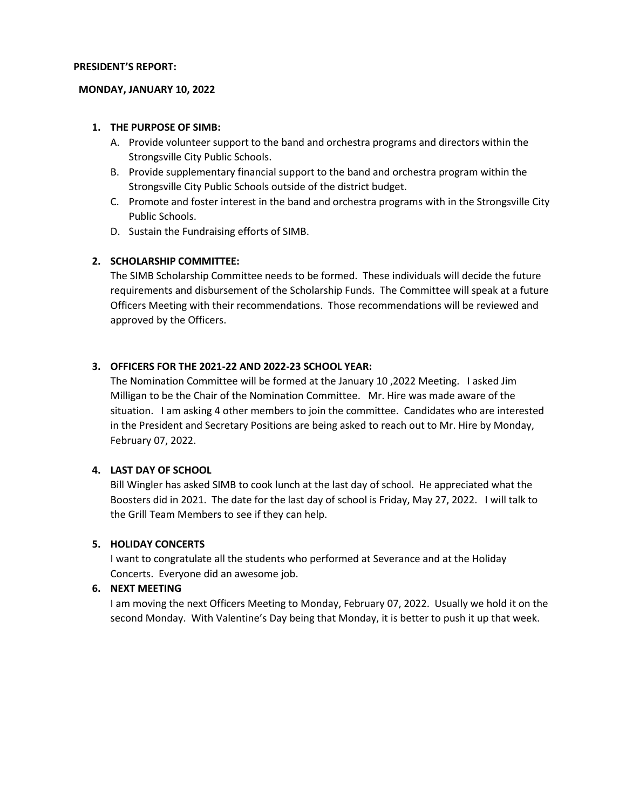#### **PRESIDENT'S REPORT:**

#### **MONDAY, JANUARY 10, 2022**

#### **1. THE PURPOSE OF SIMB:**

- A. Provide volunteer support to the band and orchestra programs and directors within the Strongsville City Public Schools.
- B. Provide supplementary financial support to the band and orchestra program within the Strongsville City Public Schools outside of the district budget.
- C. Promote and foster interest in the band and orchestra programs with in the Strongsville City Public Schools.
- D. Sustain the Fundraising efforts of SIMB.

## **2. SCHOLARSHIP COMMITTEE:**

The SIMB Scholarship Committee needs to be formed. These individuals will decide the future requirements and disbursement of the Scholarship Funds. The Committee will speak at a future Officers Meeting with their recommendations. Those recommendations will be reviewed and approved by the Officers.

### **3. OFFICERS FOR THE 2021-22 AND 2022-23 SCHOOL YEAR:**

The Nomination Committee will be formed at the January 10 ,2022 Meeting. I asked Jim Milligan to be the Chair of the Nomination Committee. Mr. Hire was made aware of the situation. I am asking 4 other members to join the committee. Candidates who are interested in the President and Secretary Positions are being asked to reach out to Mr. Hire by Monday, February 07, 2022.

### **4. LAST DAY OF SCHOOL**

Bill Wingler has asked SIMB to cook lunch at the last day of school. He appreciated what the Boosters did in 2021. The date for the last day of school is Friday, May 27, 2022. I will talk to the Grill Team Members to see if they can help.

### **5. HOLIDAY CONCERTS**

I want to congratulate all the students who performed at Severance and at the Holiday Concerts. Everyone did an awesome job.

### **6. NEXT MEETING**

I am moving the next Officers Meeting to Monday, February 07, 2022. Usually we hold it on the second Monday. With Valentine's Day being that Monday, it is better to push it up that week.